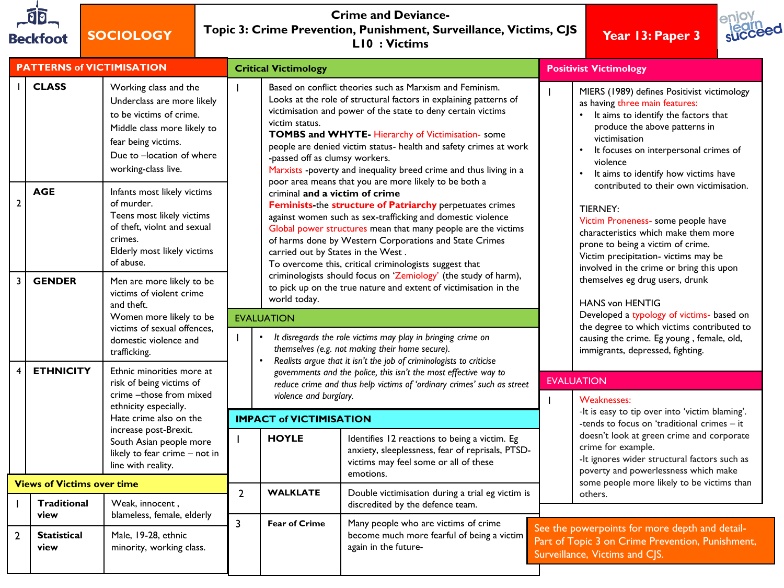

## **SOCIOLOGY**

## **Crime and Deviance-Topic 3: Crime Prevention, Punishment, Surveillance, Victims, CJS**

**Year 13: Paper 3** 



| <b>PATTERNS of VICTIMISATION</b> |                                   |                                                                                                                                                                                                                                                                                                                                                                                                                          | <b>Critical Victimology</b>                                                                                                                                          |                                                                                                                                                                                                                                                                                                                                                                                                                                                         |                                                                                                                                                                                                                                                                                                                                                                                                                                                     |                   | <b>Positivist Victimology</b>                                                                                                                                                                                                                                                                                           |  |  |  |
|----------------------------------|-----------------------------------|--------------------------------------------------------------------------------------------------------------------------------------------------------------------------------------------------------------------------------------------------------------------------------------------------------------------------------------------------------------------------------------------------------------------------|----------------------------------------------------------------------------------------------------------------------------------------------------------------------|---------------------------------------------------------------------------------------------------------------------------------------------------------------------------------------------------------------------------------------------------------------------------------------------------------------------------------------------------------------------------------------------------------------------------------------------------------|-----------------------------------------------------------------------------------------------------------------------------------------------------------------------------------------------------------------------------------------------------------------------------------------------------------------------------------------------------------------------------------------------------------------------------------------------------|-------------------|-------------------------------------------------------------------------------------------------------------------------------------------------------------------------------------------------------------------------------------------------------------------------------------------------------------------------|--|--|--|
|                                  | <b>CLASS</b>                      | Working class and the<br>Underclass are more likely<br>to be victims of crime.<br>Middle class more likely to<br>fear being victims.<br>Due to -location of where<br>working-class live.                                                                                                                                                                                                                                 |                                                                                                                                                                      | victim status.<br>-passed off as clumsy workers.                                                                                                                                                                                                                                                                                                                                                                                                        | Based on conflict theories such as Marxism and Feminism.<br>Looks at the role of structural factors in explaining patterns of<br>victimisation and power of the state to deny certain victims<br>TOMBS and WHYTE-Hierarchy of Victimisation-some<br>people are denied victim status- health and safety crimes at work<br>Marxists -poverty and inequality breed crime and thus living in a<br>poor area means that you are more likely to be both a |                   | MIERS (1989) defines Positivist victimology<br>as having three main features:<br>It aims to identify the factors that<br>produce the above patterns in<br>victimisation<br>It focuses on interpersonal crimes of<br>violence<br>$\bullet$<br>It aims to identify how victims have                                       |  |  |  |
| $\overline{2}$                   | <b>AGE</b>                        | Infants most likely victims<br>of murder.<br>Teens most likely victims<br>of theft, violnt and sexual<br>crimes.<br>Elderly most likely victims<br>of abuse.                                                                                                                                                                                                                                                             |                                                                                                                                                                      | criminal and a victim of crime<br>Feminists-the structure of Patriarchy perpetuates crimes<br>against women such as sex-trafficking and domestic violence<br>Global power structures mean that many people are the victims<br>of harms done by Western Corporations and State Crimes<br>carried out by States in the West.<br>To overcome this, critical criminologists suggest that<br>criminologists should focus on 'Zemiology' (the study of harm), |                                                                                                                                                                                                                                                                                                                                                                                                                                                     |                   | contributed to their own victimisation.<br>TIERNEY:<br>Victim Proneness- some people have<br>characteristics which make them more<br>prone to being a victim of crime.<br>Victim precipitation- victims may be<br>involved in the crime or bring this upon<br>themselves eg drug users, drunk<br><b>HANS von HENTIG</b> |  |  |  |
| $\overline{\mathbf{3}}$          | <b>GENDER</b>                     | Men are more likely to be<br>victims of violent crime<br>and theft.<br>Women more likely to be<br>victims of sexual offences,<br>domestic violence and<br>trafficking.<br>Ethnic minorities more at<br>risk of being victims of<br>crime -those from mixed<br>ethnicity especially.<br>Hate crime also on the<br>increase post-Brexit.<br>South Asian people more<br>likely to fear crime - not in<br>line with reality. | to pick up on the true nature and extent of victimisation in the<br>world today.                                                                                     |                                                                                                                                                                                                                                                                                                                                                                                                                                                         |                                                                                                                                                                                                                                                                                                                                                                                                                                                     |                   |                                                                                                                                                                                                                                                                                                                         |  |  |  |
|                                  |                                   |                                                                                                                                                                                                                                                                                                                                                                                                                          | <b>EVALUATION</b>                                                                                                                                                    |                                                                                                                                                                                                                                                                                                                                                                                                                                                         |                                                                                                                                                                                                                                                                                                                                                                                                                                                     |                   | Developed a typology of victims- based on<br>the degree to which victims contributed to                                                                                                                                                                                                                                 |  |  |  |
|                                  |                                   |                                                                                                                                                                                                                                                                                                                                                                                                                          |                                                                                                                                                                      | $\bullet$<br>$\bullet$                                                                                                                                                                                                                                                                                                                                                                                                                                  | It disregards the role victims may play in bringing crime on<br>themselves (e.g. not making their home secure).<br>Realists argue that it isn't the job of criminologists to criticise                                                                                                                                                                                                                                                              |                   | causing the crime. Eg young, female, old,<br>immigrants, depressed, fighting.                                                                                                                                                                                                                                           |  |  |  |
| $\overline{4}$                   | <b>ETHNICITY</b>                  |                                                                                                                                                                                                                                                                                                                                                                                                                          | governments and the police, this isn't the most effective way to<br>reduce crime and thus help victims of 'ordinary crimes' such as street<br>violence and burglary. |                                                                                                                                                                                                                                                                                                                                                                                                                                                         |                                                                                                                                                                                                                                                                                                                                                                                                                                                     | <b>EVALUATION</b> |                                                                                                                                                                                                                                                                                                                         |  |  |  |
|                                  |                                   |                                                                                                                                                                                                                                                                                                                                                                                                                          |                                                                                                                                                                      |                                                                                                                                                                                                                                                                                                                                                                                                                                                         |                                                                                                                                                                                                                                                                                                                                                                                                                                                     |                   | <b>Weaknesses:</b><br>-It is easy to tip over into 'victim blaming'.                                                                                                                                                                                                                                                    |  |  |  |
|                                  |                                   |                                                                                                                                                                                                                                                                                                                                                                                                                          | <b>IMPACT of VICTIMISATION</b>                                                                                                                                       |                                                                                                                                                                                                                                                                                                                                                                                                                                                         |                                                                                                                                                                                                                                                                                                                                                                                                                                                     |                   |                                                                                                                                                                                                                                                                                                                         |  |  |  |
|                                  |                                   |                                                                                                                                                                                                                                                                                                                                                                                                                          |                                                                                                                                                                      |                                                                                                                                                                                                                                                                                                                                                                                                                                                         |                                                                                                                                                                                                                                                                                                                                                                                                                                                     |                   | -tends to focus on 'traditional crimes - it                                                                                                                                                                                                                                                                             |  |  |  |
|                                  |                                   |                                                                                                                                                                                                                                                                                                                                                                                                                          |                                                                                                                                                                      | <b>HOYLE</b>                                                                                                                                                                                                                                                                                                                                                                                                                                            | Identifies 12 reactions to being a victim. Eg<br>anxiety, sleeplessness, fear of reprisals, PTSD-<br>victims may feel some or all of these<br>emotions.                                                                                                                                                                                                                                                                                             |                   | doesn't look at green crime and corporate<br>crime for example.<br>-It ignores wider structural factors such as<br>poverty and powerlessness which make                                                                                                                                                                 |  |  |  |
|                                  | <b>Views of Victims over time</b> |                                                                                                                                                                                                                                                                                                                                                                                                                          |                                                                                                                                                                      | <b>WALKLATE</b>                                                                                                                                                                                                                                                                                                                                                                                                                                         | Double victimisation during a trial eg victim is                                                                                                                                                                                                                                                                                                                                                                                                    |                   | some people more likely to be victims than<br>others.                                                                                                                                                                                                                                                                   |  |  |  |
|                                  | <b>Traditional</b>                | Weak, innocent,                                                                                                                                                                                                                                                                                                                                                                                                          | $\overline{2}$                                                                                                                                                       |                                                                                                                                                                                                                                                                                                                                                                                                                                                         | discredited by the defence team.                                                                                                                                                                                                                                                                                                                                                                                                                    |                   |                                                                                                                                                                                                                                                                                                                         |  |  |  |
|                                  | view                              | blameless, female, elderly                                                                                                                                                                                                                                                                                                                                                                                               | $\overline{3}$                                                                                                                                                       | <b>Fear of Crime</b>                                                                                                                                                                                                                                                                                                                                                                                                                                    | Many people who are victims of crime                                                                                                                                                                                                                                                                                                                                                                                                                |                   | See the powerpoints for more depth and detail-                                                                                                                                                                                                                                                                          |  |  |  |
| $\overline{2}$                   | <b>Statistical</b><br>view        | Male, 19-28, ethnic<br>minority, working class.                                                                                                                                                                                                                                                                                                                                                                          |                                                                                                                                                                      |                                                                                                                                                                                                                                                                                                                                                                                                                                                         | become much more fearful of being a victim<br>again in the future-                                                                                                                                                                                                                                                                                                                                                                                  |                   | Part of Topic 3 on Crime Prevention, Punishment,<br>Surveillance, Victims and CJS.                                                                                                                                                                                                                                      |  |  |  |